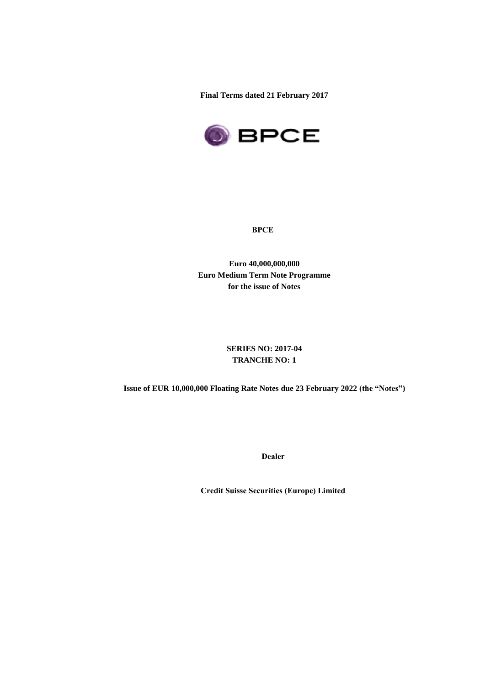**Final Terms dated 21 February 2017**



**BPCE**

**Euro 40,000,000,000 Euro Medium Term Note Programme for the issue of Notes**

> **SERIES NO: 2017-04 TRANCHE NO: 1**

**Issue of EUR 10,000,000 Floating Rate Notes due 23 February 2022 (the "Notes")**

**Dealer**

**Credit Suisse Securities (Europe) Limited**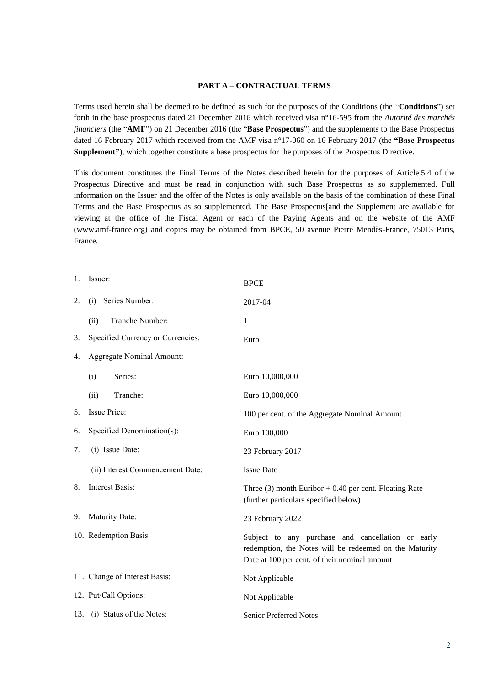### **PART A – CONTRACTUAL TERMS**

Terms used herein shall be deemed to be defined as such for the purposes of the Conditions (the "**Conditions**") set forth in the base prospectus dated 21 December 2016 which received visa n°16-595 from the *Autorité des marchés financiers* (the "**AMF**") on 21 December 2016 (the "**Base Prospectus**") and the supplements to the Base Prospectus dated 16 February 2017 which received from the AMF visa n°17-060 on 16 February 2017 (the **"Base Prospectus Supplement"**), which together constitute a base prospectus for the purposes of the Prospectus Directive.

This document constitutes the Final Terms of the Notes described herein for the purposes of Article 5.4 of the Prospectus Directive and must be read in conjunction with such Base Prospectus as so supplemented. Full information on the Issuer and the offer of the Notes is only available on the basis of the combination of these Final Terms and the Base Prospectus as so supplemented. The Base Prospectus[and the Supplement are available for viewing at the office of the Fiscal Agent or each of the Paying Agents and on the website of the AMF (www.amf-france.org) and copies may be obtained from BPCE, 50 avenue Pierre Mendès-France, 75013 Paris, France.

| 1. | Issuer:                           | <b>BPCE</b>                                                                                                                                                  |
|----|-----------------------------------|--------------------------------------------------------------------------------------------------------------------------------------------------------------|
| 2. | Series Number:<br>(i)             | 2017-04                                                                                                                                                      |
|    | Tranche Number:<br>(ii)           | $\mathbf{1}$                                                                                                                                                 |
| 3. | Specified Currency or Currencies: | Euro                                                                                                                                                         |
| 4. | Aggregate Nominal Amount:         |                                                                                                                                                              |
|    | Series:<br>(i)                    | Euro 10,000,000                                                                                                                                              |
|    | Tranche:<br>(ii)                  | Euro 10,000,000                                                                                                                                              |
| 5. | Issue Price:                      | 100 per cent. of the Aggregate Nominal Amount                                                                                                                |
| 6. | Specified Denomination(s):        | Euro 100,000                                                                                                                                                 |
| 7. | (i) Issue Date:                   | 23 February 2017                                                                                                                                             |
|    | (ii) Interest Commencement Date:  | <b>Issue Date</b>                                                                                                                                            |
| 8. | Interest Basis:                   | Three $(3)$ month Euribor + 0.40 per cent. Floating Rate<br>(further particulars specified below)                                                            |
| 9. | Maturity Date:                    | 23 February 2022                                                                                                                                             |
|    | 10. Redemption Basis:             | Subject to any purchase and cancellation or early<br>redemption, the Notes will be redeemed on the Maturity<br>Date at 100 per cent. of their nominal amount |
|    | 11. Change of Interest Basis:     | Not Applicable                                                                                                                                               |
|    | 12. Put/Call Options:             | Not Applicable                                                                                                                                               |
|    | 13. (i) Status of the Notes:      | <b>Senior Preferred Notes</b>                                                                                                                                |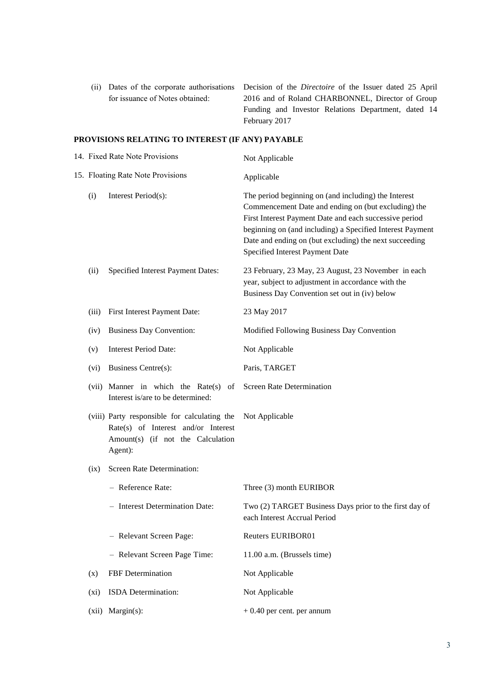|                                 | (ii) Dates of the corporate authorisations Decision of the <i>Directoire</i> of the Issuer dated 25 April |
|---------------------------------|-----------------------------------------------------------------------------------------------------------|
| for issuance of Notes obtained: | 2016 and of Roland CHARBONNEL, Director of Group                                                          |
|                                 | Funding and Investor Relations Department, dated 14                                                       |
|                                 | February 2017                                                                                             |

# **PROVISIONS RELATING TO INTEREST (IF ANY) PAYABLE**

| 14. Fixed Rate Note Provisions    |                                                                                                                                     | Not Applicable                                                                                                                                                                                                                                                                                                                  |  |
|-----------------------------------|-------------------------------------------------------------------------------------------------------------------------------------|---------------------------------------------------------------------------------------------------------------------------------------------------------------------------------------------------------------------------------------------------------------------------------------------------------------------------------|--|
| 15. Floating Rate Note Provisions |                                                                                                                                     | Applicable                                                                                                                                                                                                                                                                                                                      |  |
| (i)                               | Interest Period(s):                                                                                                                 | The period beginning on (and including) the Interest<br>Commencement Date and ending on (but excluding) the<br>First Interest Payment Date and each successive period<br>beginning on (and including) a Specified Interest Payment<br>Date and ending on (but excluding) the next succeeding<br>Specified Interest Payment Date |  |
| (ii)                              | Specified Interest Payment Dates:                                                                                                   | 23 February, 23 May, 23 August, 23 November in each<br>year, subject to adjustment in accordance with the<br>Business Day Convention set out in (iv) below                                                                                                                                                                      |  |
| (iii)                             | First Interest Payment Date:                                                                                                        | 23 May 2017                                                                                                                                                                                                                                                                                                                     |  |
| (iv)                              | <b>Business Day Convention:</b>                                                                                                     | Modified Following Business Day Convention                                                                                                                                                                                                                                                                                      |  |
| (v)                               | <b>Interest Period Date:</b>                                                                                                        | Not Applicable                                                                                                                                                                                                                                                                                                                  |  |
| (vi)                              | Business Centre(s):                                                                                                                 | Paris, TARGET                                                                                                                                                                                                                                                                                                                   |  |
|                                   | (vii) Manner in which the Rate(s) of<br>Interest is/are to be determined:                                                           | Screen Rate Determination                                                                                                                                                                                                                                                                                                       |  |
|                                   | (viii) Party responsible for calculating the<br>Rate(s) of Interest and/or Interest<br>Amount(s) (if not the Calculation<br>Agent): | Not Applicable                                                                                                                                                                                                                                                                                                                  |  |
| (ix)                              | Screen Rate Determination:                                                                                                          |                                                                                                                                                                                                                                                                                                                                 |  |
|                                   | - Reference Rate:                                                                                                                   | Three (3) month EURIBOR                                                                                                                                                                                                                                                                                                         |  |
|                                   | - Interest Determination Date:                                                                                                      | Two (2) TARGET Business Days prior to the first day of<br>each Interest Accrual Period                                                                                                                                                                                                                                          |  |
|                                   | - Relevant Screen Page:                                                                                                             | Reuters EURIBOR01                                                                                                                                                                                                                                                                                                               |  |
|                                   | - Relevant Screen Page Time:                                                                                                        | 11.00 a.m. (Brussels time)                                                                                                                                                                                                                                                                                                      |  |
| (x)                               | FBF Determination                                                                                                                   | Not Applicable                                                                                                                                                                                                                                                                                                                  |  |
| (xi)                              | ISDA Determination:                                                                                                                 | Not Applicable                                                                                                                                                                                                                                                                                                                  |  |
| (xii)                             | $Margin(s)$ :                                                                                                                       | $+0.40$ per cent. per annum                                                                                                                                                                                                                                                                                                     |  |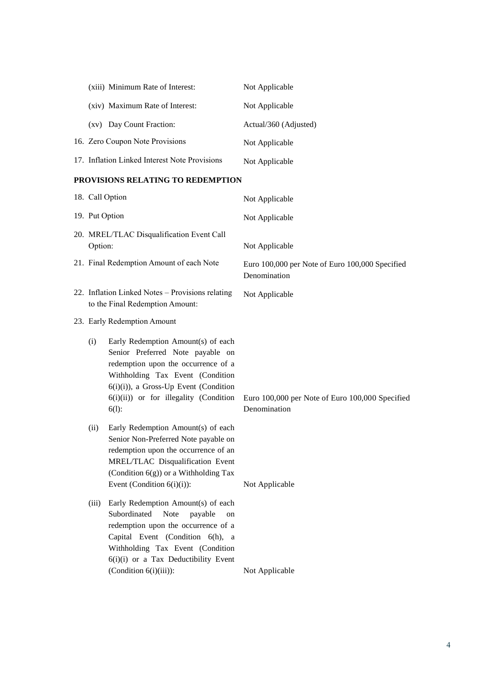| (xiii) Minimum Rate of Interest:              | Not Applicable        |
|-----------------------------------------------|-----------------------|
| (xiv) Maximum Rate of Interest:               | Not Applicable        |
| Day Count Fraction:<br>(xy)                   | Actual/360 (Adjusted) |
| 16. Zero Coupon Note Provisions               | Not Applicable        |
| 17. Inflation Linked Interest Note Provisions | Not Applicable        |

### **PROVISIONS RELATING TO REDEMPTION**

| 18. Call Option                                                                     |                                                                                                                                                                                                                                                                 | Not Applicable                                                  |  |
|-------------------------------------------------------------------------------------|-----------------------------------------------------------------------------------------------------------------------------------------------------------------------------------------------------------------------------------------------------------------|-----------------------------------------------------------------|--|
| 19. Put Option                                                                      |                                                                                                                                                                                                                                                                 | Not Applicable                                                  |  |
| 20. MREL/TLAC Disqualification Event Call<br>Option:                                |                                                                                                                                                                                                                                                                 | Not Applicable                                                  |  |
| 21. Final Redemption Amount of each Note                                            |                                                                                                                                                                                                                                                                 | Euro 100,000 per Note of Euro 100,000 Specified<br>Denomination |  |
| 22. Inflation Linked Notes - Provisions relating<br>to the Final Redemption Amount: |                                                                                                                                                                                                                                                                 | Not Applicable                                                  |  |
| 23. Early Redemption Amount                                                         |                                                                                                                                                                                                                                                                 |                                                                 |  |
| (i)                                                                                 | Early Redemption Amount(s) of each<br>Senior Preferred Note payable on<br>redemption upon the occurrence of a<br>Withholding Tax Event (Condition<br>6(i)(i)), a Gross-Up Event (Condition<br>6(i)(ii)) or for illegality (Condition<br>$6(1)$ :                | Euro 100,000 per Note of Euro 100,000 Specified<br>Denomination |  |
| (ii)                                                                                | Early Redemption Amount(s) of each<br>Senior Non-Preferred Note payable on<br>redemption upon the occurrence of an<br>MREL/TLAC Disqualification Event<br>(Condition $6(g)$ ) or a Withholding Tax<br>Event (Condition $6(i)(i)$ ):                             | Not Applicable                                                  |  |
| (iii)                                                                               | Early Redemption Amount(s) of each<br>Subordinated<br>Note<br>payable<br>on<br>redemption upon the occurrence of a<br>Capital Event (Condition 6(h), a<br>Withholding Tax Event (Condition<br>6(i)(i) or a Tax Deductibility Event<br>(Condition $6(i)(iii)$ ): | Not Applicable                                                  |  |
|                                                                                     |                                                                                                                                                                                                                                                                 |                                                                 |  |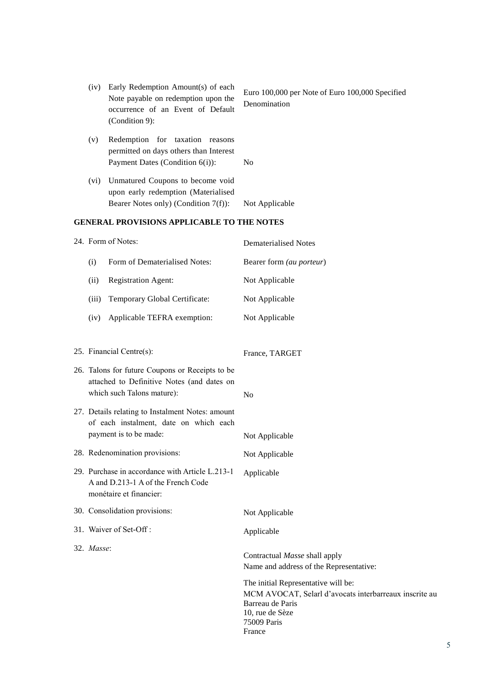|                                            | (iv) | Early Redemption Amount(s) of each<br>Note payable on redemption upon the<br>occurrence of an Event of Default<br>(Condition 9): | Euro 100,000 per Note of Euro 100,000 Specified<br>Denomination |
|--------------------------------------------|------|----------------------------------------------------------------------------------------------------------------------------------|-----------------------------------------------------------------|
|                                            | (v)  | Redemption for taxation<br>reasons<br>permitted on days others than Interest<br>Payment Dates (Condition $6(i)$ ):               | N <sub>0</sub>                                                  |
|                                            | (vi) | Unmatured Coupons to become void<br>upon early redemption (Materialised<br>Bearer Notes only) (Condition 7(f)):                  | Not Applicable                                                  |
| GENERAL PROVISIONS APPLICABLE TO THE NOTES |      |                                                                                                                                  |                                                                 |
|                                            |      | 24. Form of Notes:                                                                                                               | Dematerialised Notes                                            |
|                                            | (i)  | Form of Dematerialised Notes:                                                                                                    | Bearer form <i>(au porteur)</i>                                 |

- (ii) Registration Agent: Not Applicable
- (iii) Temporary Global Certificate: Not Applicable
- (iv) Applicable TEFRA exemption: Not Applicable

25. Financial Centre(s): France, TARGET 26. Talons for future Coupons or Receipts to be attached to Definitive Notes (and dates on which such Talons mature): No 27. Details relating to Instalment Notes: amount of each instalment, date on which each payment is to be made: Not Applicable 28. Redenomination provisions: Not Applicable 29. Purchase in accordance with Article L.213-1 A and D.213-1 A of the French Code monétaire et financier: Applicable 30. Consolidation provisions: Not Applicable 31. Waiver of Set-Off : Applicable 32. *Masse*: Contractual *Masse* shall apply Name and address of the Representative: The initial Representative will be: MCM AVOCAT, Selarl d'avocats interbarreaux inscrite au Barreau de Paris 10, rue de Sèze 75009 Paris France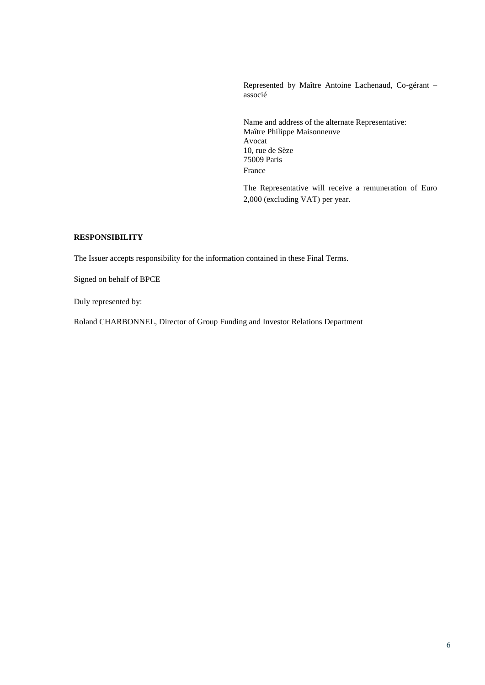Represented by Maître Antoine Lachenaud, Co-gérant – associé

Name and address of the alternate Representative: Maître Philippe Maisonneuve Avocat 10, rue de Sèze 75009 Paris France

The Representative will receive a remuneration of Euro 2,000 (excluding VAT) per year.

# **RESPONSIBILITY**

The Issuer accepts responsibility for the information contained in these Final Terms.

Signed on behalf of BPCE

Duly represented by:

Roland CHARBONNEL, Director of Group Funding and Investor Relations Department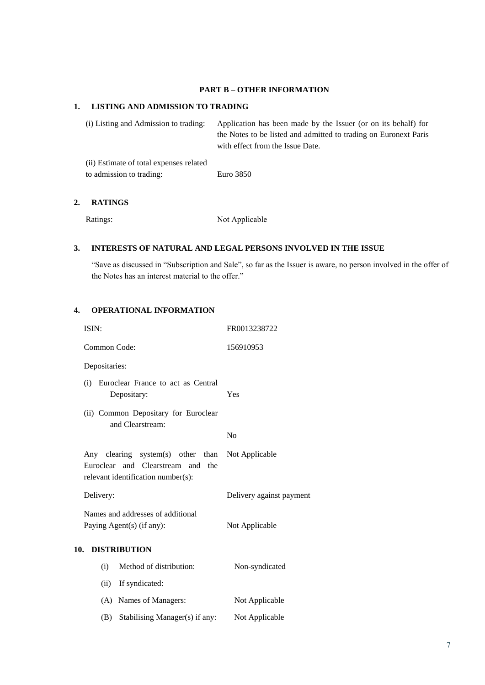#### **PART B – OTHER INFORMATION**

### **1. LISTING AND ADMISSION TO TRADING**

(i) Listing and Admission to trading: Application has been made by the Issuer (or on its behalf) for the Notes to be listed and admitted to trading on Euronext Paris with effect from the Issue Date. (ii) Estimate of total expenses related to admission to trading: Euro 3850

# **2. RATINGS**

Ratings: Not Applicable

### **3. INTERESTS OF NATURAL AND LEGAL PERSONS INVOLVED IN THE ISSUE**

"Save as discussed in "Subscription and Sale", so far as the Issuer is aware, no person involved in the offer of the Notes has an interest material to the offer."

## **4. OPERATIONAL INFORMATION**

|     | ISIN:         |                                                                                                              | FR0013238722             |
|-----|---------------|--------------------------------------------------------------------------------------------------------------|--------------------------|
|     | Common Code:  |                                                                                                              | 156910953                |
|     | Depositaries: |                                                                                                              |                          |
|     | (i)           | Euroclear France to act as Central<br>Depositary:                                                            | Yes                      |
|     |               | (ii) Common Depositary for Euroclear<br>and Clearstream:                                                     |                          |
|     |               |                                                                                                              | No                       |
|     |               | Any clearing system(s) other than<br>Euroclear and Clearstream and the<br>relevant identification number(s): | Not Applicable           |
|     | Delivery:     |                                                                                                              | Delivery against payment |
|     |               | Names and addresses of additional<br>Paying Agent(s) (if any):                                               | Not Applicable           |
| 10. |               | <b>DISTRIBUTION</b>                                                                                          |                          |
|     | (i)           | Method of distribution:                                                                                      | Non-syndicated           |
|     | (ii)          | If syndicated:                                                                                               |                          |
|     | (A)           | Names of Managers:                                                                                           | Not Applicable           |
|     | (B)           | Stabilising Manager(s) if any:                                                                               | Not Applicable           |